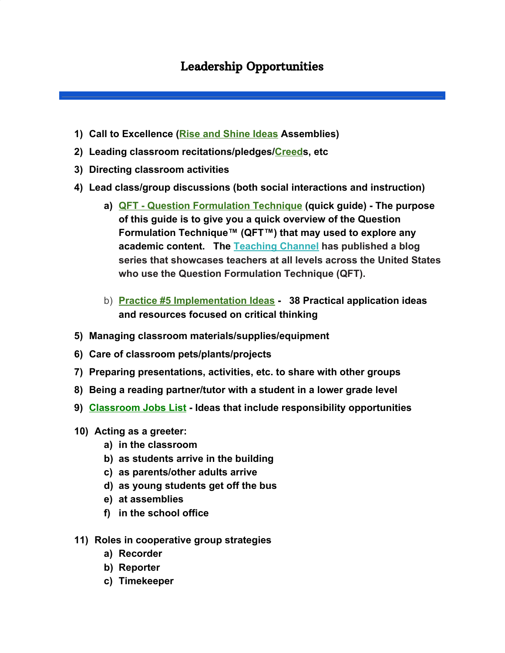## Leadership Opportunities

- **1) Call to Excellence ([Rise and Shine Ideas](http://www.greatexpectations.org/rise-and-shine-ideas) Assemblies)**
- **2) Leading classroom recitations/pledges/[Creeds](http://www.greatexpectations.org/creeds1), etc**
- **3) Directing classroom activities**
- **4) Lead class/group discussions (both social interactions and instruction)**
	- **a) [QFT Question Formulation Technique](http://www.ibmidatlantic.org/Experiencing-the-QFT.pdf) (quick guide) The purpose of this guide is to give you a quick overview of the Question Formulation Technique™ (QFT™) that may used to explore any academic content. The [Teaching Channel](https://www.teachingchannel.org/tch/blog/sparking-joy-classroom-student-formulated-questions) has published a blog series that showcases teachers at all levels across the United States who use the Question Formulation Technique (QFT).**
	- b) **[Practice #5 Implementation Ideas](http://www.greatexpectations.org/practice-five-implementation-ideas)  38 Practical application ideas and resources focused on critical thinking**
- **5) Managing classroom materials/supplies/equipment**
- **6) Care of classroom pets/plants/projects**
- **7) Preparing presentations, activities, etc. to share with other groups**
- **8) Being a reading partner/tutor with a student in a lower grade level**
- **9) [Classroom Jobs List](https://thecornerstoneforteachers.com/class-jobs/) Ideas that include responsibility opportunities**
- **10) Acting as a greeter:**
	- **a) in the classroom**
	- **b) as students arrive in the building**
	- **c) as parents/other adults arrive**
	- **d) as young students get off the bus**
	- **e) at assemblies**
	- **f) in the school office**
- **11) Roles in cooperative group strategies**
	- **a) Recorder**
	- **b) Reporter**
	- **c) Timekeeper**